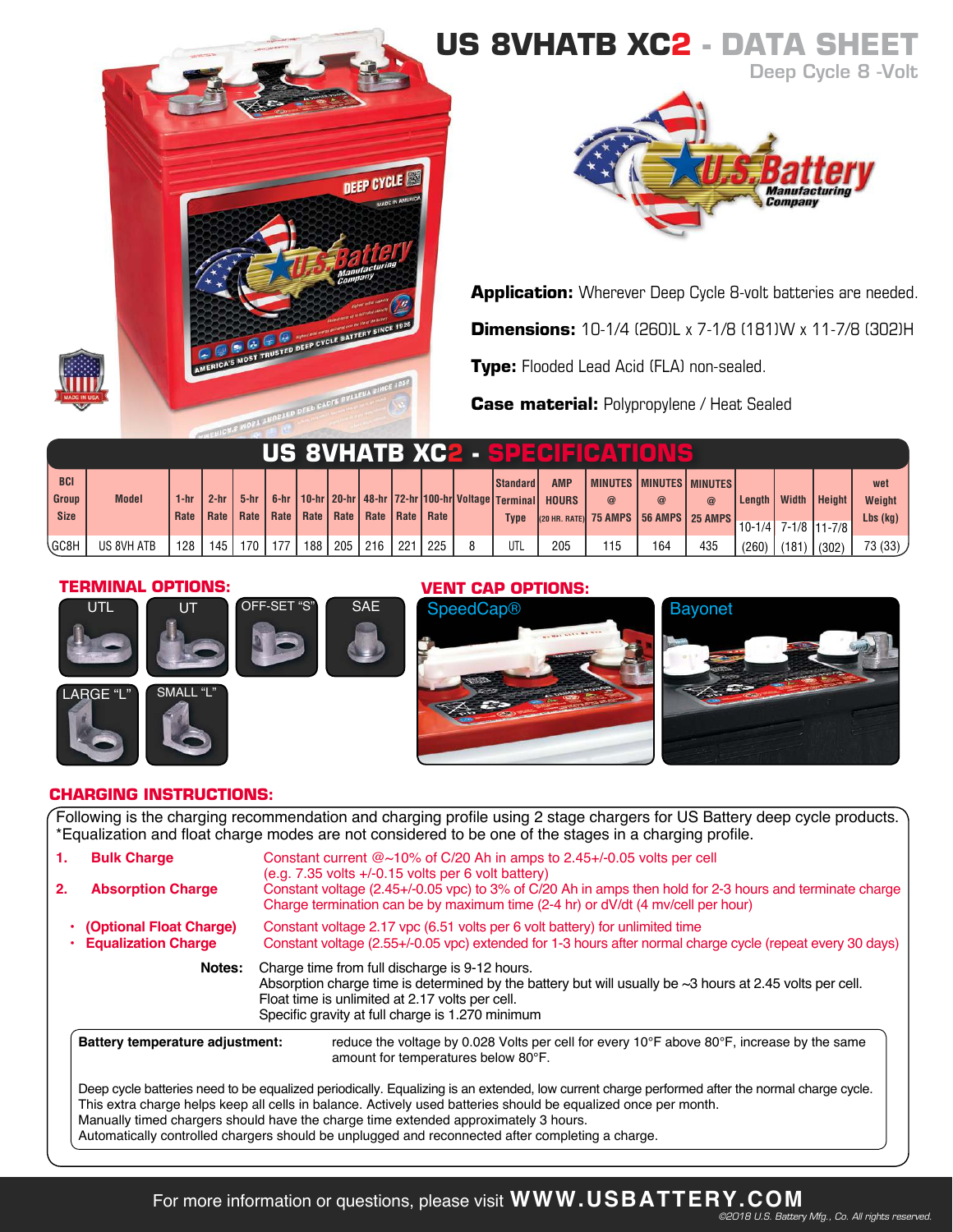# **US 8VHATB XC2 - DATA SH DEEP CYCLE CALCE DEEP CYCLE BATTERY SINC**



**Application:** Wherever Deep Cycle 8-volt batteries are needed. **Dimensions:** 10-1/4 (260)L x 7-1/8 (181)W x 11-7/8 (302)H **Type:** Flooded Lead Acid (FLA) non-sealed.

**Case material:** Polypropylene / Heat Sealed

| US 8VHATB XC2 - SPECIEIGATIONS |              |        |        |                  |     |                  |         |                                                |     |       |                                                                    |              |                                       |     |                 |                |              |                       |            |
|--------------------------------|--------------|--------|--------|------------------|-----|------------------|---------|------------------------------------------------|-----|-------|--------------------------------------------------------------------|--------------|---------------------------------------|-----|-----------------|----------------|--------------|-----------------------|------------|
| <b>BCI</b>                     |              |        |        |                  |     |                  |         |                                                |     |       | <b>Standard</b>                                                    | <b>AMP</b>   | <b>MINUTES MINUTES MINUTES</b>        |     |                 |                |              |                       | wet        |
| <b>Group</b>                   | <b>Model</b> | 1-hr   | $2-hr$ | $5-hr$           |     |                  |         |                                                |     |       | 6-hr   10-hr   20-hr   48-hr   72-hr   100-hr   Voltage   Terminal | <b>HOURS</b> |                                       |     | $^{\copyright}$ | Length $\vert$ | <b>Width</b> | Height                | Weight     |
| <b>Size</b>                    |              | Rate I | Rate I |                  |     |                  |         | Rate   Rate   Rate   Rate   Rate   Rate   Rate |     |       | <b>Type</b>                                                        |              | (20 HR. RATE) 75 AMPS 56 AMPS 25 AMPS |     |                 |                |              |                       | Lbs $(kg)$ |
|                                |              |        |        |                  |     |                  |         |                                                |     |       |                                                                    |              |                                       |     |                 |                |              | $10-1/4$ 7-1/8 11-7/8 |            |
| \GC8H                          | US 8VH ATB   | 128    | 145    | 170 <sub>l</sub> | 177 | 188 <sub>1</sub> | l 205 l | 216                                            | 221 | . 225 | UTL                                                                | 205          | 115                                   | 164 | 435             | (260)          |              | $(181)$ (302)         | 73 (33) /  |

#### **TERMINAL OPTIONS:**





## **VENT CAP OPTIONS:**





### **CHARGING INSTRUCTIONS:**

Following is the charging recommendation and charging profile using 2 stage chargers for US Battery deep cycle products. \*Equalization and float charge modes are not considered to be one of the stages in a charging profile.

| 1.<br>2. | <b>Bulk Charge</b><br><b>Absorption Charge</b>                                                                                                                                                                                                                                                                                                                                                                                                              | Constant current $@{\sim}10\%$ of C/20 Ah in amps to 2.45+/-0.05 volts per cell<br>$(e.q. 7.35$ volts $+/-0.15$ volts per 6 volt battery)<br>Constant voltage (2.45+/-0.05 vpc) to 3% of C/20 Ah in amps then hold for 2-3 hours and terminate charge                          |  |  |  |  |  |  |  |  |  |
|----------|-------------------------------------------------------------------------------------------------------------------------------------------------------------------------------------------------------------------------------------------------------------------------------------------------------------------------------------------------------------------------------------------------------------------------------------------------------------|--------------------------------------------------------------------------------------------------------------------------------------------------------------------------------------------------------------------------------------------------------------------------------|--|--|--|--|--|--|--|--|--|
|          | (Optional Float Charge)<br><b>Equalization Charge</b>                                                                                                                                                                                                                                                                                                                                                                                                       | Charge termination can be by maximum time (2-4 hr) or dV/dt (4 mv/cell per hour)<br>Constant voltage 2.17 ypc (6.51 yolts per 6 yolt battery) for unlimited time<br>Constant voltage (2.55+/-0.05 vpc) extended for 1-3 hours after normal charge cycle (repeat every 30 days) |  |  |  |  |  |  |  |  |  |
|          | Notes:                                                                                                                                                                                                                                                                                                                                                                                                                                                      | Charge time from full discharge is 9-12 hours.<br>Absorption charge time is determined by the battery but will usually be $\sim$ 3 hours at 2.45 volts per cell.<br>Float time is unlimited at 2.17 volts per cell.<br>Specific gravity at full charge is 1.270 minimum        |  |  |  |  |  |  |  |  |  |
|          | Battery temperature adjustment:                                                                                                                                                                                                                                                                                                                                                                                                                             | reduce the voltage by 0.028 Volts per cell for every 10°F above 80°F, increase by the same<br>amount for temperatures below 80°F.                                                                                                                                              |  |  |  |  |  |  |  |  |  |
|          | Deep cycle batteries need to be equalized periodically. Equalizing is an extended, low current charge performed after the normal charge cycle.<br>This extra charge helps keep all cells in balance. Actively used batteries should be equalized once per month.<br>Manually timed chargers should have the charge time extended approximately 3 hours.<br>Automatically controlled chargers should be unplugged and reconnected after completing a charge. |                                                                                                                                                                                                                                                                                |  |  |  |  |  |  |  |  |  |